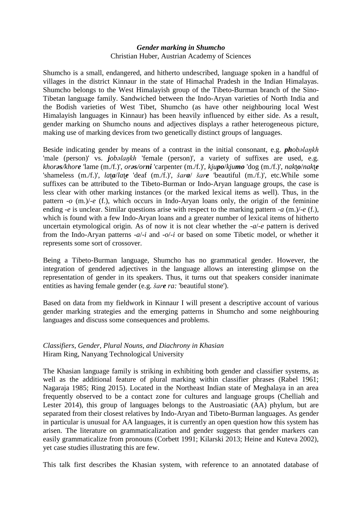## *Gender marking in Shumcho* Christian Huber, Austrian Academy of Sciences

Shumcho is a small, endangered, and hitherto undescribed, language spoken in a handful of villages in the district Kinnaur in the state of Himachal Pradesh in the Indian Himalayas. Shumcho belongs to the West Himalayish group of the Tibeto-Burman branch of the Sino-Tibetan language family. Sandwiched between the Indo-Aryan varieties of North India and the Bodish varieties of West Tibet, Shumcho (as have other neighbouring local West Himalayish languages in Kinnaur) has been heavily influenced by either side. As a result, gender marking on Shumcho nouns and adjectives displays a rather heterogeneous picture, making use of marking devices from two genetically distinct groups of languages.

Beside indicating gender by means of a contrast in the initial consonant, e.g. *phobəlaŋkh*  'male (person)' vs. *jobəlaŋkh* 'female (person)', a variety of suffixes are used, e.g. *khorəs/khore* 'lame (m./f.)', *orəs/orni* 'carpenter (m./f.)', *kjupo*/*kjumo* 'dog (m./f.)', *nak*ʈ*o*/*nak*ʈ*e*  'shameless (m./f.)', *la*ʈ*a*/*la*ʈ*e* 'deaf (m./f.)', *šara*/ *šare* 'beautiful (m./f.)', etc.While some suffixes can be attributed to the Tibeto-Burman or Indo-Aryan language groups, the case is less clear with other marking instances (or the marked lexical items as well). Thus, in the pattern  $-a$  (m.)/ $-e$  (f.), which occurs in Indo-Aryan loans only, the origin of the feminine ending *-e* is unclear. Similar questions arise with respect to the marking pattern *-a* (m.)/*-e* (f.), which is found with a few Indo-Aryan loans and a greater number of lexical items of hitherto uncertain etymological origin. As of now it is not clear whether the *-a*/*-e* pattern is derived from the Indo-Aryan patterns *-a*/*-i* and *-o*/*-i* or based on some Tibetic model, or whether it represents some sort of crossover.

Being a Tibeto-Burman language, Shumcho has no grammatical gender. However, the integration of gendered adjectives in the language allows an interesting glimpse on the representation of gender in its speakers. Thus, it turns out that speakers consider inanimate entities as having female gender (e.g. *šare ra:* 'beautiful stone').

Based on data from my fieldwork in Kinnaur I will present a descriptive account of various gender marking strategies and the emerging patterns in Shumcho and some neighbouring languages and discuss some consequences and problems.

## *Classifiers, Gender, Plural Nouns, and Diachrony in Khasian* Hiram Ring, Nanyang Technological University

The Khasian language family is striking in exhibiting both gender and classifier systems, as well as the additional feature of plural marking within classifier phrases (Rabel 1961; Nagaraja 1985; Ring 2015). Located in the Northeast Indian state of Meghalaya in an area frequently observed to be a contact zone for cultures and language groups (Chelliah and Lester 2014), this group of languages belongs to the Austroasiatic (AA) phylum, but are separated from their closest relatives by Indo-Aryan and Tibeto-Burman languages. As gender in particular is unusual for AA languages, it is currently an open question how this system has arisen. The literature on grammaticalization and gender suggests that gender markers can easily grammaticalize from pronouns (Corbett 1991; Kilarski 2013; Heine and Kuteva 2002), yet case studies illustrating this are few.

This talk first describes the Khasian system, with reference to an annotated database of